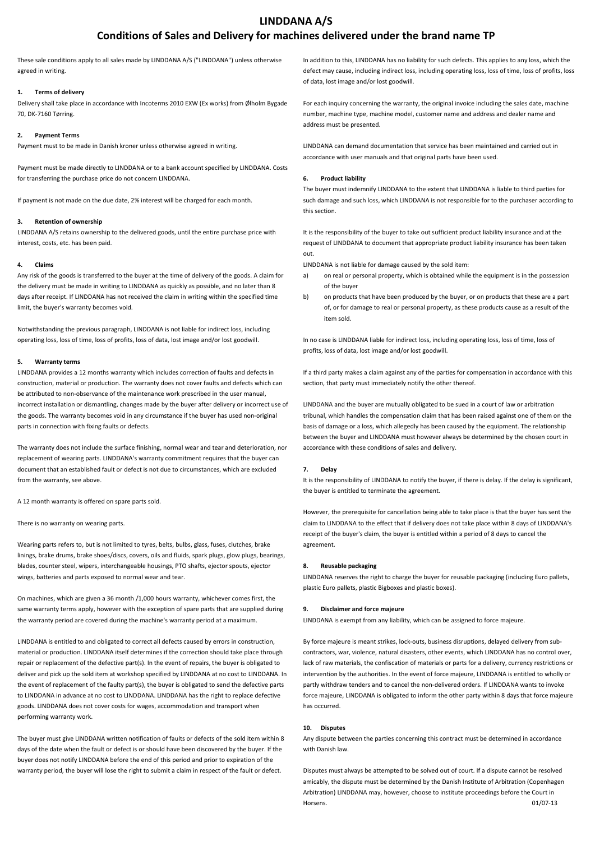# **LINDDANA A/S**

# **Conditions of Sales and Delivery for machines delivered under the brand name TP**

These sale conditions apply to all sales made by LINDDANA A/S ("LINDDANA") unless otherwise agreed in writing.

# **1. Terms of delivery**

Delivery shall take place in accordance with Incoterms 2010 EXW (Ex works) from Ølholm Bygade 70, DK-7160 Tørring.

# **2. Payment Terms**

Payment must to be made in Danish kroner unless otherwise agreed in writing.

Payment must be made directly to LINDDANA or to a bank account specified by LINDDANA. Costs for transferring the purchase price do not concern LINDDANA.

If payment is not made on the due date, 2% interest will be charged for each month.

## **3. Retention of ownership**

LINDDANA A/S retains ownership to the delivered goods, until the entire purchase price with interest, costs, etc. has been paid.

## **4. Claims**

Any risk of the goods is transferred to the buyer at the time of delivery of the goods. A claim for the delivery must be made in writing to LINDDANA as quickly as possible, and no later than 8 days after receipt. If LINDDANA has not received the claim in writing within the specified time limit, the buyer's warranty becomes void.

Notwithstanding the previous paragraph, LINDDANA is not liable for indirect loss, including operating loss, loss of time, loss of profits, loss of data, lost image and/or lost goodwill.

## **5. Warranty terms**

LINDDANA provides a 12 months warranty which includes correction of faults and defects in construction, material or production. The warranty does not cover faults and defects which can be attributed to non-observance of the maintenance work prescribed in the user manual, incorrect installation or dismantling, changes made by the buyer after delivery or incorrect use of the goods. The warranty becomes void in any circumstance if the buyer has used non-original parts in connection with fixing faults or defects.

The warranty does not include the surface finishing, normal wear and tear and deterioration, nor replacement of wearing parts. LINDDANA's warranty commitment requires that the buyer can document that an established fault or defect is not due to circumstances, which are excluded from the warranty, see above.

A 12 month warranty is offered on spare parts sold.

There is no warranty on wearing parts.

Wearing parts refers to, but is not limited to tyres, belts, bulbs, glass, fuses, clutches, brake linings, brake drums, brake shoes/discs, covers, oils and fluids, spark plugs, glow plugs, bearings, blades, counter steel, wipers, interchangeable housings, PTO shafts, ejector spouts, ejector wings, batteries and parts exposed to normal wear and tear.

On machines, which are given a 36 month /1,000 hours warranty, whichever comes first, the same warranty terms apply, however with the exception of spare parts that are supplied during the warranty period are covered during the machine's warranty period at a maximum.

LINDDANA is entitled to and obligated to correct all defects caused by errors in construction, material or production. LINDDANA itself determines if the correction should take place through repair or replacement of the defective part(s). In the event of repairs, the buyer is obligated to deliver and pick up the sold item at workshop specified by LINDDANA at no cost to LINDDANA. In the event of replacement of the faulty part(s), the buyer is obligated to send the defective parts to LINDDANA in advance at no cost to LINDDANA. LINDDANA has the right to replace defective goods. LINDDANA does not cover costs for wages, accommodation and transport when performing warranty work.

The buyer must give LINDDANA written notification of faults or defects of the sold item within 8 days of the date when the fault or defect is or should have been discovered by the buyer. If the buyer does not notify LINDDANA before the end of this period and prior to expiration of the warranty period, the buyer will lose the right to submit a claim in respect of the fault or defect.

In addition to this, LINDDANA has no liability for such defects. This applies to any loss, which the defect may cause, including indirect loss, including operating loss, loss of time, loss of profits, loss of data, lost image and/or lost goodwill.

For each inquiry concerning the warranty, the original invoice including the sales date, machine number, machine type, machine model, customer name and address and dealer name and address must be presented.

LINDDANA can demand documentation that service has been maintained and carried out in accordance with user manuals and that original parts have been used.

## **6. Product liability**

The buyer must indemnify LINDDANA to the extent that LINDDANA is liable to third parties for such damage and such loss, which LINDDANA is not responsible for to the purchaser according to this section.

It is the responsibility of the buyer to take out sufficient product liability insurance and at the request of LINDDANA to document that appropriate product liability insurance has been taken out.

LINDDANA is not liable for damage caused by the sold item:

- a) on real or personal property, which is obtained while the equipment is in the possession of the buyer
- b) on products that have been produced by the buyer, or on products that these are a part of, or for damage to real or personal property, as these products cause as a result of the item sold.

In no case is LINDDANA liable for indirect loss, including operating loss, loss of time, loss of profits, loss of data, lost image and/or lost goodwill.

If a third party makes a claim against any of the parties for compensation in accordance with this section, that party must immediately notify the other thereof.

LINDDANA and the buyer are mutually obligated to be sued in a court of law or arbitration tribunal, which handles the compensation claim that has been raised against one of them on the basis of damage or a loss, which allegedly has been caused by the equipment. The relationship between the buyer and LINDDANA must however always be determined by the chosen court in accordance with these conditions of sales and delivery.

# **7. Delay**

It is the responsibility of LINDDANA to notify the buyer, if there is delay. If the delay is significant, the buyer is entitled to terminate the agreement.

However, the prerequisite for cancellation being able to take place is that the buyer has sent the claim to LINDDANA to the effect that if delivery does not take place within 8 days of LINDDANA's receipt of the buyer's claim, the buyer is entitled within a period of 8 days to cancel the agreement.

## **8. Reusable packaging**

LINDDANA reserves the right to charge the buyer for reusable packaging (including Euro pallets, plastic Euro pallets, plastic Bigboxes and plastic boxes).

### **9. Disclaimer and force majeure**

LINDDANA is exempt from any liability, which can be assigned to force majeure.

By force majeure is meant strikes, lock-outs, business disruptions, delayed delivery from subcontractors, war, violence, natural disasters, other events, which LINDDANA has no control over, lack of raw materials, the confiscation of materials or parts for a delivery, currency restrictions or intervention by the authorities. In the event of force majeure, LINDDANA is entitled to wholly or partly withdraw tenders and to cancel the non-delivered orders. If LINDDANA wants to invoke force majeure, LINDDANA is obligated to inform the other party within 8 days that force majeure has occurred.

# **10. Disputes**

Any dispute between the parties concerning this contract must be determined in accordance with Danish law.

Disputes must always be attempted to be solved out of court. If a dispute cannot be resolved amicably, the dispute must be determined by the Danish Institute of Arbitration (Copenhagen Arbitration) LINDDANA may, however, choose to institute proceedings before the Court in Horsens. 01/07-13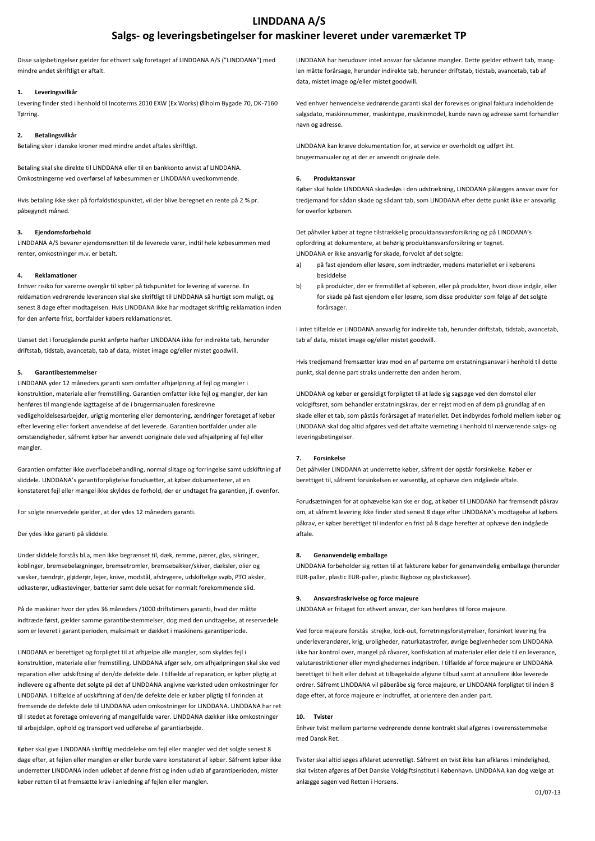# **LINDDANA A/S Salgs- og leveringsbetingelser for maskiner leveret under varemærket TP**

Disse salgsbetingelser gælder for ethvert salg foretaget af LINDDANA A/S ("LINDDANA") med mindre andet skriftligt er aftalt.

# **1. Leveringsvilkår**

Levering finder sted i henhold til Incoterms 2010 EXW (Ex Works) Ølholm Bygade 70, DK-7160 Tørring.

# **2. Betalingsvilkår**

Betaling sker i danske kroner med mindre andet aftales skriftligt.

Betaling skal ske direkte til LINDDANA eller til en bankkonto anvist af LINDDANA. Omkostningerne ved overførsel af købesummen er LINDDANA uvedkommende.

Hvis betaling ikke sker på forfaldstidspunktet, vil der blive beregnet en rente på 2 % pr. påbegyndt måned.

# **3. Ejendomsforbehold**

LINDDANA A/S bevarer ejendomsretten til de leverede varer, indtil hele købesummen med renter, omkostninger m.v. er betalt.

# **4. Reklamationer**

Enhver risiko for varerne overgår til køber på tidspunktet for levering af varerne. En reklamation vedrørende leverancen skal ske skriftligt til LINDDANA så hurtigt som muligt, og senest 8 dage efter modtagelsen. Hvis LINDDANA ikke har modtaget skriftlig reklamation inden for den anførte frist, bortfalder købers reklamationsret.

Uanset det i forudgående punkt anførte hæfter LINDDANA ikke for indirekte tab, herunder driftstab, tidstab, avancetab, tab af data, mistet image og/eller mistet goodwill.

## **5. Garantibestemmelser**

LINDDANA yder 12 måneders garanti som omfatter afhjælpning af fejl og mangler i konstruktion, materiale eller fremstilling. Garantien omfatter ikke fejl og mangler, der kan henføres til manglende iagttagelse af de i brugermanualen foreskrevne vedligeholdelsesarbejder, urigtig montering eller demontering, ændringer foretaget af køber efter levering eller forkert anvendelse af det leverede. Garantien bortfalder under alle omstændigheder, såfremt køber har anvendt uoriginale dele ved afhjælpning af fejl eller mangler.

Garantien omfatter ikke overfladebehandling, normal slitage og forringelse samt udskiftning af sliddele. LINDDANA's garantiforpligtelse forudsætter, at køber dokumenterer, at en konstateret fejl eller mangel ikke skyldes de forhold, der er undtaget fra garantien, jf. ovenfor.

For solgte reservedele gælder, at der ydes 12 måneders garanti.

Der ydes ikke garanti på sliddele.

Under sliddele forstås bl.a, men ikke begrænset til, dæk, remme, pærer, glas, sikringer, koblinger, bremsebelægninger, bremsetromler, bremsebakker/skiver, dæksler, olier og væsker, tændrør, gløderør, lejer, knive, modstål, afstrygere, udskiftelige svøb, PTO aksler, udkasterør, udkastevinger, batterier samt dele udsat for normalt forekommende slid.

På de maskiner hvor der ydes 36 måneders /1000 driftstimers garanti, hvad der måtte indtræde først, gælder samme garantibestemmelser, dog med den undtagelse, at reservedele som er leveret i garantiperioden, maksimalt er dækket i maskinens garantiperiode.

LINDDANA er berettiget og forpligtet til at afhjælpe alle mangler, som skyldes fejl i konstruktion, materiale eller fremstilling. LINDDANA afgør selv, om afhjælpningen skal ske ved reparation eller udskiftning af den/de defekte dele. I tilfælde af reparation, er køber pligtig at indlevere og afhente det solgte på det af LINDDANA angivne værksted uden omkostninger for LINDDANA. I tilfælde af udskiftning af den/de defekte dele er køber pligtig til forinden at fremsende de defekte dele til LINDDANA uden omkostninger for LINDDANA. LINDDANA har ret til i stedet at foretage omlevering af mangelfulde varer. LINDDANA dækker ikke omkostninger til arbejdsløn, ophold og transport ved udførelse af garantiarbejde.

Køber skal give LINDDANA skriftlig meddelelse om fejl eller mangler ved det solgte senest 8 dage efter, at fejlen eller manglen er eller burde være konstateret af køber. Såfremt køber ikke underretter LINDDANA inden udløbet af denne frist og inden udløb af garantiperioden, mister køber retten til at fremsætte krav i anledning af fejlen eller manglen.

LINDDANA har herudover intet ansvar for sådanne mangler. Dette gælder ethvert tab, manglen måtte forårsage, herunder indirekte tab, herunder driftstab, tidstab, avancetab, tab af data, mistet image og/eller mistet goodwill.

Ved enhver henvendelse vedrørende garanti skal der forevises original faktura indeholdende salgsdato, maskinnummer, maskintype, maskinmodel, kunde navn og adresse samt forhandler navn og adresse.

LINDDANA kan kræve dokumentation for, at service er overholdt og udført iht. brugermanualer og at der er anvendt originale dele.

## **6. Produktansvar**

Køber skal holde LINDDANA skadesløs i den udstrækning, LINDDANA pålægges ansvar over for tredjemand for sådan skade og sådant tab, som LINDDANA efter dette punkt ikke er ansvarlig for overfor køberen.

Det påhviler køber at tegne tilstrækkelig produktansvarsforsikring og på LINDDANA's opfordring at dokumentere, at behørig produktansvarsforsikring er tegnet. LINDDANA er ikke ansvarlig for skade, forvoldt af det solgte:

- a) på fast ejendom eller løsøre, som indtræder, medens materiellet er i køberens besiddelse
- b) på produkter, der er fremstillet af køberen, eller på produkter, hvori disse indgår, eller for skade på fast ejendom eller løsøre, som disse produkter som følge af det solgte forårsager.

I intet tilfælde er LINDDANA ansvarlig for indirekte tab, herunder driftstab, tidstab, avancetab, tab af data, mistet image og/eller mistet goodwill.

Hvis tredjemand fremsætter krav mod en af parterne om erstatningsansvar i henhold til dette punkt, skal denne part straks underrette den anden herom.

LINDDANA og køber er gensidigt forpligtet til at lade sig sagsøge ved den domstol eller voldgiftsret, som behandler erstatningskrav, der er rejst mod en af dem på grundlag af en skade eller et tab, som påstås forårsaget af materiellet. Det indbyrdes forhold mellem køber og LINDDANA skal dog altid afgøres ved det aftalte værneting i henhold til nærværende salgs- og leveringsbetingelser.

## **7. Forsinkelse**

Det påhviler LINDDANA at underrette køber, såfremt der opstår forsinkelse. Køber er berettiget til, såfremt forsinkelsen er væsentlig, at ophæve den indgåede aftale.

Forudsætningen for at ophævelse kan ske er dog, at køber til LINDDANA har fremsendt påkrav om, at såfremt levering ikke finder sted senest 8 dage efter LINDDANA's modtagelse af købers påkrav, er køber berettiget til indenfor en frist på 8 dage herefter at ophæve den indgåede aftale.

### **8. Genanvendelig emballage**

LINDDANA forbeholder sig retten til at fakturere køber for genanvendelig emballage (herunder EUR-paller, plastic EUR-paller, plastic Bigboxe og plastickasser).

### **9. Ansvarsfraskrivelse og force majeure**

LINDDANA er fritaget for ethvert ansvar, der kan henføres til force majeure.

Ved force majeure forstås strejke, lock-out, forretningsforstyrrelser, forsinket levering fra underleverandører, krig, uroligheder, naturkatastrofer, øvrige begivenheder som LINDDANA ikke har kontrol over, mangel på råvarer, konfiskation af materialer eller dele til en leverance, valutarestriktioner eller myndighedernes indgriben. I tilfælde af force majeure er LINDDANA berettiget til helt eller delvist at tilbagekalde afgivne tilbud samt at annullere ikke leverede ordrer. Såfremt LINDDANA vil påberåbe sig force majeure, er LINDDANA forpligtet til inden 8 dage efter, at force majeure er indtruffet, at orientere den anden part.

# **10. Tvister**

Enhver tvist mellem parterne vedrørende denne kontrakt skal afgøres i overensstemmelse med Dansk Ret.

Tvister skal altid søges afklaret udenretligt. Såfremt en tvist ikke kan afklares i mindelighed, skal tvisten afgøres af Det Danske Voldgiftsinstitut i København. LINDDANA kan dog vælge at anlægge sagen ved Retten i Horsens.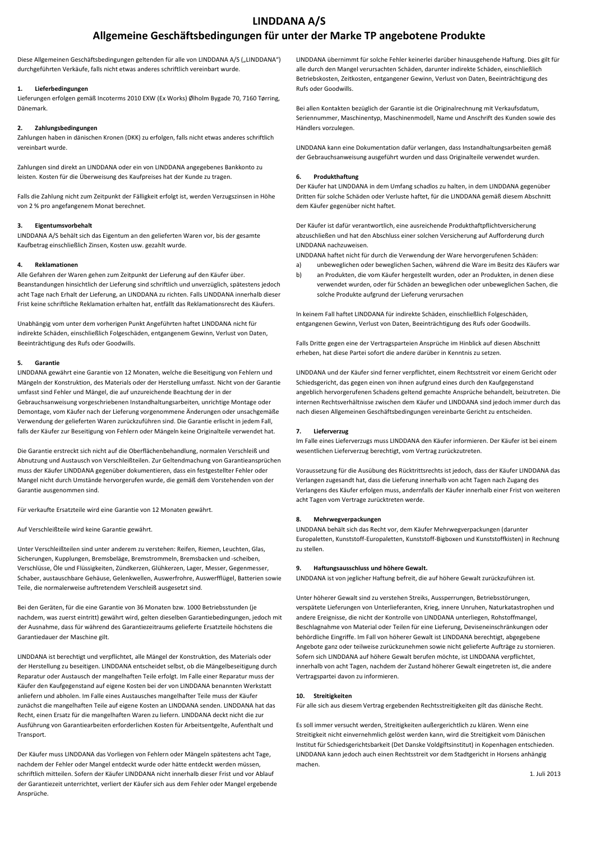# **LINDDANA A/S**

# **Allgemeine Geschäftsbedingungen für unter der Marke TP angebotene Produkte**

Diese Allgemeinen Geschäftsbedingungen geltenden für alle von LINDDANA A/S ("LINDDANA") durchgeführten Verkäufe, falls nicht etwas anderes schriftlich vereinbart wurde.

# **1. Lieferbedingungen**

Lieferungen erfolgen gemäß Incoterms 2010 EXW (Ex Works) Ølholm Bygade 70, 7160 Tørring, Dänemark.

# **2. Zahlungsbedingungen**

Zahlungen haben in dänischen Kronen (DKK) zu erfolgen, falls nicht etwas anderes schriftlich vereinbart wurde.

Zahlungen sind direkt an LINDDANA oder ein von LINDDANA angegebenes Bankkonto zu leisten. Kosten für die Überweisung des Kaufpreises hat der Kunde zu tragen.

Falls die Zahlung nicht zum Zeitpunkt der Fälligkeit erfolgt ist, werden Verzugszinsen in Höhe von 2 % pro angefangenem Monat berechnet.

## **3. Eigentumsvorbehalt**

LINDDANA A/S behält sich das Eigentum an den gelieferten Waren vor, bis der gesamte Kaufbetrag einschließlich Zinsen, Kosten usw. gezahlt wurde.

#### **4. Reklamationen**

Alle Gefahren der Waren gehen zum Zeitpunkt der Lieferung auf den Käufer über. Beanstandungen hinsichtlich der Lieferung sind schriftlich und unverzüglich, spätestens jedoch acht Tage nach Erhalt der Lieferung, an LINDDANA zu richten. Falls LINDDANA innerhalb dieser Frist keine schriftliche Reklamation erhalten hat, entfällt das Reklamationsrecht des Käufers.

Unabhängig vom unter dem vorherigen Punkt Angeführten haftet LINDDANA nicht für indirekte Schäden, einschließlich Folgeschäden, entgangenem Gewinn, Verlust von Daten, Beeinträchtigung des Rufs oder Goodwills.

#### **5. Garantie**

LINDDANA gewährt eine Garantie von 12 Monaten, welche die Beseitigung von Fehlern und Mängeln der Konstruktion, des Materials oder der Herstellung umfasst. Nicht von der Garantie umfasst sind Fehler und Mängel, die auf unzureichende Beachtung der in der Gebrauchsanweisung vorgeschriebenen Instandhaltungsarbeiten, unrichtige Montage oder Demontage, vom Käufer nach der Lieferung vorgenommene Änderungen oder unsachgemäße Verwendung der gelieferten Waren zurückzuführen sind. Die Garantie erlischt in jedem Fall, falls der Käufer zur Beseitigung von Fehlern oder Mängeln keine Originalteile verwendet hat.

Die Garantie erstreckt sich nicht auf die Oberflächenbehandlung, normalen Verschleiß und Abnutzung und Austausch von Verschleißteilen. Zur Geltendmachung von Garantieansprüchen muss der Käufer LINDDANA gegenüber dokumentieren, dass ein festgestellter Fehler oder Mangel nicht durch Umstände hervorgerufen wurde, die gemäß dem Vorstehenden von der Garantie ausgenommen sind.

Für verkaufte Ersatzteile wird eine Garantie von 12 Monaten gewährt.

Auf Verschleißteile wird keine Garantie gewährt.

Unter Verschleißteilen sind unter anderem zu verstehen: Reifen, Riemen, Leuchten, Glas, Sicherungen, Kupplungen, Bremsbeläge, Bremstrommeln, Bremsbacken und -scheiben, Verschlüsse, Öle und Flüssigkeiten, Zündkerzen, Glühkerzen, Lager, Messer, Gegenmesser, Schaber, austauschbare Gehäuse, Gelenkwellen, Auswerfrohre, Auswerfflügel, Batterien sowie Teile, die normalerweise auftretendem Verschleiß ausgesetzt sind.

Bei den Geräten, für die eine Garantie von 36 Monaten bzw. 1000 Betriebsstunden (je nachdem, was zuerst eintritt) gewährt wird, gelten dieselben Garantiebedingungen, jedoch mit der Ausnahme, dass für während des Garantiezeitraums gelieferte Ersatzteile höchstens die Garantiedauer der Maschine gilt.

LINDDANA ist berechtigt und verpflichtet, alle Mängel der Konstruktion, des Materials oder der Herstellung zu beseitigen. LINDDANA entscheidet selbst, ob die Mängelbeseitigung durch Reparatur oder Austausch der mangelhaften Teile erfolgt. Im Falle einer Reparatur muss der Käufer den Kaufgegenstand auf eigene Kosten bei der von LINDDANA benannten Werkstatt anliefern und abholen. Im Falle eines Austausches mangelhafter Teile muss der Käufer zunächst die mangelhaften Teile auf eigene Kosten an LINDDANA senden. LINDDANA hat das Recht, einen Ersatz für die mangelhaften Waren zu liefern. LINDDANA deckt nicht die zur Ausführung von Garantiearbeiten erforderlichen Kosten für Arbeitsentgelte, Aufenthalt und Transport.

Der Käufer muss LINDDANA das Vorliegen von Fehlern oder Mängeln spätestens acht Tage, nachdem der Fehler oder Mangel entdeckt wurde oder hätte entdeckt werden müssen, schriftlich mitteilen. Sofern der Käufer LINDDANA nicht innerhalb dieser Frist und vor Ablauf der Garantiezeit unterrichtet, verliert der Käufer sich aus dem Fehler oder Mangel ergebende Ansprüche.

LINDDANA übernimmt für solche Fehler keinerlei darüber hinausgehende Haftung. Dies gilt für alle durch den Mangel verursachten Schäden, darunter indirekte Schäden, einschließlich Betriebskosten, Zeitkosten, entgangener Gewinn, Verlust von Daten, Beeinträchtigung des Rufs oder Goodwills.

Bei allen Kontakten bezüglich der Garantie ist die Originalrechnung mit Verkaufsdatum, Seriennummer, Maschinentyp, Maschinenmodell, Name und Anschrift des Kunden sowie des Händlers vorzulegen.

LINDDANA kann eine Dokumentation dafür verlangen, dass Instandhaltungsarbeiten gemäß der Gebrauchsanweisung ausgeführt wurden und dass Originalteile verwendet wurden.

## **6. Produkthaftung**

Der Käufer hat LINDDANA in dem Umfang schadlos zu halten, in dem LINDDANA gegenüber Dritten für solche Schäden oder Verluste haftet, für die LINDDANA gemäß diesem Abschnitt dem Käufer gegenüber nicht haftet.

Der Käufer ist dafür verantwortlich, eine ausreichende Produkthaftpflichtversicherung abzuschließen und hat den Abschluss einer solchen Versicherung auf Aufforderung durch LINDDANA nachzuweisen.

LINDDANA haftet nicht für durch die Verwendung der Ware hervorgerufenen Schäden:

- a) unbeweglichen oder beweglichen Sachen, während die Ware im Besitz des Käufers war
- b) an Produkten, die vom Käufer hergestellt wurden, oder an Produkten, in denen diese verwendet wurden, oder für Schäden an beweglichen oder unbeweglichen Sachen, die solche Produkte aufgrund der Lieferung verursachen

In keinem Fall haftet LINDDANA für indirekte Schäden, einschließlich Folgeschäden, entgangenen Gewinn, Verlust von Daten, Beeinträchtigung des Rufs oder Goodwills.

Falls Dritte gegen eine der Vertragsparteien Ansprüche im Hinblick auf diesen Abschnitt erheben, hat diese Partei sofort die andere darüber in Kenntnis zu setzen.

LINDDANA und der Käufer sind ferner verpflichtet, einem Rechtsstreit vor einem Gericht oder Schiedsgericht, das gegen einen von ihnen aufgrund eines durch den Kaufgegenstand angeblich hervorgerufenen Schadens geltend gemachte Ansprüche behandelt, beizutreten. Die internen Rechtsverhältnisse zwischen dem Käufer und LINDDANA sind jedoch immer durch das nach diesen Allgemeinen Geschäftsbedingungen vereinbarte Gericht zu entscheiden.

# **7. Lieferverzug**

Im Falle eines Lieferverzugs muss LINDDANA den Käufer informieren. Der Käufer ist bei einem wesentlichen Lieferverzug berechtigt, vom Vertrag zurückzutreten.

Voraussetzung für die Ausübung des Rücktrittsrechts ist jedoch, dass der Käufer LINDDANA das Verlangen zugesandt hat, dass die Lieferung innerhalb von acht Tagen nach Zugang des Verlangens des Käufer erfolgen muss, andernfalls der Käufer innerhalb einer Frist von weiteren acht Tagen vom Vertrage zurücktreten werde.

#### **8. Mehrwegverpackungen**

LINDDANA behält sich das Recht vor, dem Käufer Mehrwegverpackungen (darunter Europaletten, Kunststoff-Europaletten, Kunststoff-Bigboxen und Kunststoffkisten) in Rechnung zu stellen.

## **9. Haftungsausschluss und höhere Gewalt.**

LINDDANA ist von jeglicher Haftung befreit, die auf höhere Gewalt zurückzuführen ist.

Unter höherer Gewalt sind zu verstehen Streiks, Aussperrungen, Betriebsstörungen, verspätete Lieferungen von Unterlieferanten, Krieg, innere Unruhen, Naturkatastrophen und andere Ereignisse, die nicht der Kontrolle von LINDDANA unterliegen, Rohstoffmangel, Beschlagnahme von Material oder Teilen für eine Lieferung, Deviseneinschränkungen oder behördliche Eingriffe. Im Fall von höherer Gewalt ist LINDDANA berechtigt, abgegebene Angebote ganz oder teilweise zurückzunehmen sowie nicht gelieferte Aufträge zu stornieren. Sofern sich LINDDANA auf höhere Gewalt berufen möchte, ist LINDDANA verpflichtet, innerhalb von acht Tagen, nachdem der Zustand höherer Gewalt eingetreten ist, die andere Vertragspartei davon zu informieren.

## **10. Streitigkeiten**

Für alle sich aus diesem Vertrag ergebenden Rechtsstreitigkeiten gilt das dänische Recht.

Es soll immer versucht werden, Streitigkeiten außergerichtlich zu klären. Wenn eine Streitigkeit nicht einvernehmlich gelöst werden kann, wird die Streitigkeit vom Dänischen Institut für Schiedsgerichtsbarkeit (Det Danske Voldgiftsinstitut) in Kopenhagen entschieden. LINDDANA kann jedoch auch einen Rechtsstreit vor dem Stadtgericht in Horsens anhängig machen.